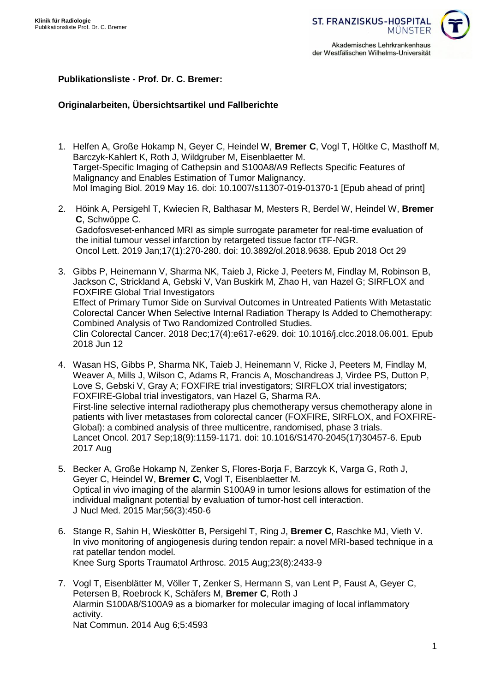

## **Publikationsliste - Prof. Dr. C. Bremer:**

# **Originalarbeiten, Übersichtsartikel und Fallberichte**

- 1. Helfen A, Große Hokamp N, Geyer C, Heindel W, **Bremer C**, Vogl T, Höltke C, Masthoff M, Barczyk-Kahlert K, Roth J, Wildgruber M, Eisenblaetter M. Target-Specific Imaging of Cathepsin and S100A8/A9 Reflects Specific Features of Malignancy and Enables Estimation of Tumor Malignancy. Mol Imaging Biol. 2019 May 16. doi: 10.1007/s11307-019-01370-1 [Epub ahead of print]
- 2. Höink A, Persigehl T, Kwiecien R, Balthasar M, Mesters R, Berdel W, Heindel W, **Bremer C**, Schwöppe C. Gadofosveset-enhanced MRI as simple surrogate parameter for real-time evaluation of the initial tumour vessel infarction by retargeted tissue factor tTF-NGR. Oncol Lett. 2019 Jan;17(1):270-280. doi: 10.3892/ol.2018.9638. Epub 2018 Oct 29
- 3. Gibbs P, Heinemann V, Sharma NK, Taieb J, Ricke J, Peeters M, Findlay M, Robinson B, Jackson C, Strickland A, Gebski V, Van Buskirk M, Zhao H, van Hazel G; SIRFLOX and FOXFIRE Global Trial Investigators Effect of Primary Tumor Side on Survival Outcomes in Untreated Patients With Metastatic Colorectal Cancer When Selective Internal Radiation Therapy Is Added to Chemotherapy: Combined Analysis of Two Randomized Controlled Studies. Clin Colorectal Cancer. 2018 Dec;17(4):e617-e629. doi: 10.1016/j.clcc.2018.06.001. Epub 2018 Jun 12
- 4. Wasan HS, Gibbs P, Sharma NK, Taieb J, Heinemann V, Ricke J, Peeters M, Findlay M, Weaver A, Mills J, Wilson C, Adams R, Francis A, Moschandreas J, Virdee PS, Dutton P, Love S, Gebski V, Gray A; FOXFIRE trial investigators; SIRFLOX trial investigators; FOXFIRE-Global trial investigators, van Hazel G, Sharma RA. First-line selective internal radiotherapy plus chemotherapy versus chemotherapy alone in patients with liver metastases from colorectal cancer (FOXFIRE, SIRFLOX, and FOXFIRE-Global): a combined analysis of three multicentre, randomised, phase 3 trials. Lancet Oncol. 2017 Sep;18(9):1159-1171. doi: 10.1016/S1470-2045(17)30457-6. Epub 2017 Aug
- 5. Becker A, Große Hokamp N, Zenker S, Flores-Borja F, Barzcyk K, Varga G, Roth J, Geyer C, Heindel W, **Bremer C**, Vogl T, Eisenblaetter M. Optical in vivo imaging of the alarmin S100A9 in tumor lesions allows for estimation of the individual malignant potential by evaluation of tumor-host cell interaction. J Nucl Med. 2015 Mar;56(3):450-6
- 6. Stange R, Sahin H, Wieskötter B, Persigehl T, Ring J, **Bremer C**, Raschke MJ, Vieth V. In vivo monitoring of angiogenesis during tendon repair: a novel MRI-based technique in a rat patellar tendon model. Knee Surg Sports Traumatol Arthrosc. 2015 Aug;23(8):2433-9
- 7. Vogl T, Eisenblätter M, Völler T, Zenker S, Hermann S, van Lent P, Faust A, Geyer C, Petersen B, Roebrock K, Schäfers M, **Bremer C**, Roth J Alarmin S100A8/S100A9 as a biomarker for molecular imaging of local inflammatory activity. Nat Commun. 2014 Aug 6;5:4593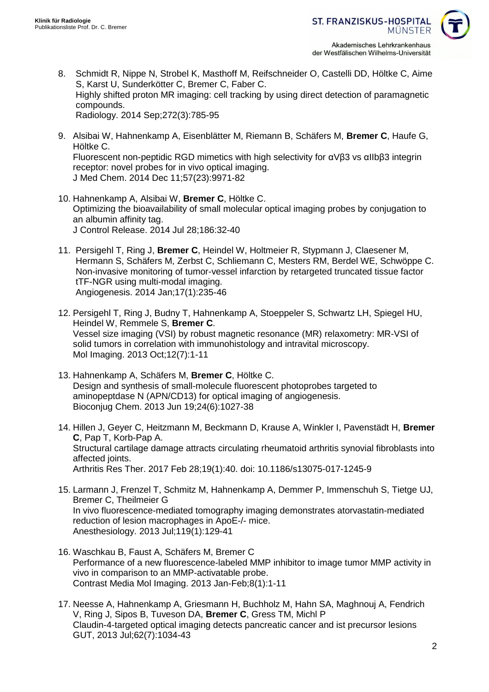

- 8. Schmidt R, Nippe N, Strobel K, Masthoff M, Reifschneider O, Castelli DD, Höltke C, Aime S, Karst U, Sunderkötter C, Bremer C, Faber C. Highly shifted proton MR imaging: cell tracking by using direct detection of paramagnetic compounds. Radiology. 2014 Sep;272(3):785-95
- 9. Alsibai W, Hahnenkamp A, Eisenblätter M, Riemann B, Schäfers M, **Bremer C**, Haufe G, Höltke C. Fluorescent non-peptidic RGD mimetics with high selectivity for αVβ3 vs αIIbβ3 integrin receptor: novel probes for in vivo optical imaging. J Med Chem. 2014 Dec 11;57(23):9971-82
- 10. Hahnenkamp A, Alsibai W, **Bremer C**, Höltke C. Optimizing the bioavailability of small molecular optical imaging probes by conjugation to an albumin affinity tag. J Control Release. 2014 Jul 28;186:32-40
- 11. Persigehl T, Ring J, **Bremer C**, Heindel W, Holtmeier R, Stypmann J, Claesener M, Hermann S, Schäfers M, Zerbst C, Schliemann C, Mesters RM, Berdel WE, Schwöppe C. Non-invasive monitoring of tumor-vessel infarction by retargeted truncated tissue factor tTF-NGR using multi-modal imaging. Angiogenesis. 2014 Jan;17(1):235-46
- 12. Persigehl T, Ring J, Budny T, Hahnenkamp A, Stoeppeler S, Schwartz LH, Spiegel HU, Heindel W, Remmele S, **Bremer C**. Vessel size imaging (VSI) by robust magnetic resonance (MR) relaxometry: MR-VSI of solid tumors in correlation with immunohistology and intravital microscopy. Mol Imaging. 2013 Oct;12(7):1-11
- 13. Hahnenkamp A, Schäfers M, **Bremer C**, Höltke C. Design and synthesis of small-molecule fluorescent photoprobes targeted to aminopeptdase N (APN/CD13) for optical imaging of angiogenesis. Bioconjug Chem. 2013 Jun 19;24(6):1027-38
- 14. Hillen J, Geyer C, Heitzmann M, Beckmann D, Krause A, Winkler I, Pavenstädt H, **Bremer C**, Pap T, Korb-Pap A. [Structural cartilage damage attracts circulating rheumatoid arthritis synovial fibroblasts into](https://www.ncbi.nlm.nih.gov/pubmed/28245866)  [affected joints.](https://www.ncbi.nlm.nih.gov/pubmed/28245866) Arthritis Res Ther. 2017 Feb 28;19(1):40. doi: 10.1186/s13075-017-1245-9
- 15. Larmann J, Frenzel T, Schmitz M, Hahnenkamp A, Demmer P, Immenschuh S, Tietge UJ, Bremer C, Theilmeier G In vivo fluorescence-mediated tomography imaging demonstrates atorvastatin-mediated reduction of lesion macrophages in ApoE-/- mice. Anesthesiology. 2013 Jul;119(1):129-41
- 16. Waschkau B, Faust A, Schäfers M, Bremer C Performance of a new fluorescence-labeled MMP inhibitor to image tumor MMP activity in vivo in comparison to an MMP-activatable probe. Contrast Media Mol Imaging. 2013 Jan-Feb;8(1):1-11
- 17. Neesse A, Hahnenkamp A, Griesmann H, Buchholz M, Hahn SA, Maghnouj A, Fendrich V, Ring J, Sipos B, Tuveson DA, **Bremer C**, Gress TM, Michl P Claudin-4-targeted optical imaging detects pancreatic cancer and ist precursor lesions GUT, 2013 Jul;62(7):1034-43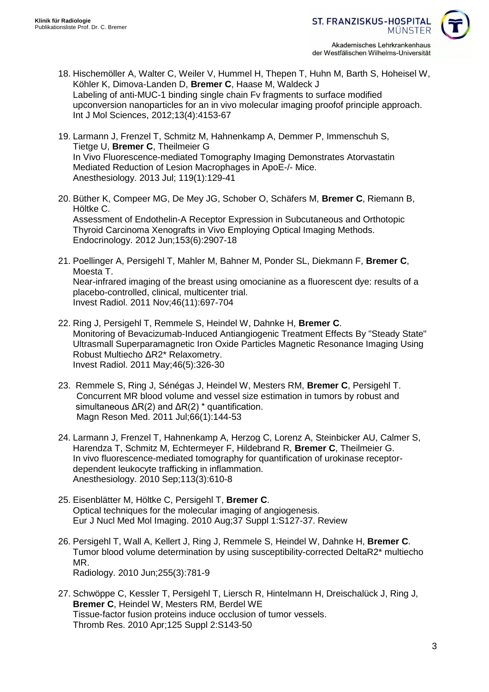

- 18. Hischemöller A, Walter C, Weiler V, Hummel H, Thepen T, Huhn M, Barth S, Hoheisel W, Köhler K, Dimova-Landen D, **Bremer C**, Haase M, Waldeck J Labeling of anti-MUC-1 binding single chain Fv fragments to surface modified upconversion nanoparticles for an in vivo molecular imaging proofof principle approach. Int J Mol Sciences, 2012;13(4):4153-67
- 19. Larmann J, Frenzel T, Schmitz M, Hahnenkamp A, Demmer P, Immenschuh S, Tietge U, **Bremer C**, Theilmeier G In Vivo Fluorescence-mediated Tomography Imaging Demonstrates Atorvastatin Mediated Reduction of Lesion Macrophages in ApoE-/- Mice. Anesthesiology. 2013 Jul; 119(1):129-41
- 20. Büther K, Compeer MG, De Mey JG, Schober O, Schäfers M, **Bremer C**, Riemann B, Höltke C. Assessment of Endothelin-A Receptor Expression in Subcutaneous and Orthotopic Thyroid Carcinoma Xenografts in Vivo Employing Optical Imaging Methods. Endocrinology. 2012 Jun;153(6):2907-18
- 21. Poellinger A, Persigehl T, Mahler M, Bahner M, Ponder SL, Diekmann F, **Bremer C**, Moesta T. Near-infrared imaging of the breast using omocianine as a fluorescent dye: results of a placebo-controlled, clinical, multicenter trial. Invest Radiol. 2011 Nov;46(11):697-704
- 22. Ring J, Persigehl T, Remmele S, Heindel W, Dahnke H, **Bremer C**. [Monitoring of Bevacizumab-Induced Antiangiogenic Treatment Effects By "Steady State"](http://www.ncbi.nlm.nih.gov/pubmed/21358548)  [Ultrasmall Superparamagnetic Iron Oxide Particles Magnetic Resonance Imaging Using](http://www.ncbi.nlm.nih.gov/pubmed/21358548)  [Robust Multiecho ΔR2\\* Relaxometry.](http://www.ncbi.nlm.nih.gov/pubmed/21358548) Invest Radiol. 2011 May;46(5):326-30
- 23. Remmele S, Ring J, Sénégas J, Heindel W, Mesters RM, **Bremer C**, Persigehl T. [Concurrent MR blood volume and vessel size estimation in tumors by robust and](http://www.ncbi.nlm.nih.gov/pubmed/21305604)  simultaneous  $\Delta R(2)$  and  $\Delta R(2)$  \* quantification. Magn Reson Med. 2011 Jul;66(1):144-53
- 24. Larmann J, Frenzel T, Hahnenkamp A, Herzog C, Lorenz A, Steinbicker AU, Calmer S, Harendza T, Schmitz M, Echtermeyer F, Hildebrand R, **Bremer C**, Theilmeier G. [In vivo fluorescence-mediated tomography for quantification of urokinase receptor](http://www.ncbi.nlm.nih.gov/pubmed/20693875)[dependent leukocyte trafficking in inflammation.](http://www.ncbi.nlm.nih.gov/pubmed/20693875) Anesthesiology. 2010 Sep;113(3):610-8
- 25. Eisenblätter M, Höltke C, Persigehl T, **Bremer C**. Optical techniques for the molecular imaging of angiogenesis. Eur J Nucl Med Mol Imaging. 2010 Aug;37 Suppl 1:S127-37. Review
- 26. Persigehl T, Wall A, Kellert J, Ring J, Remmele S, Heindel W, Dahnke H, **Bremer C**. [Tumor blood volume determination by using susceptibility-corrected DeltaR2\\* multiecho](http://www.ncbi.nlm.nih.gov/pubmed/20501715)  [MR.](http://www.ncbi.nlm.nih.gov/pubmed/20501715) Radiology. 2010 Jun;255(3):781-9
- 27. Schwöppe C, Kessler T, Persigehl T, Liersch R, Hintelmann H, Dreischalück J, Ring J, **Bremer C**, Heindel W, Mesters RM, Berdel WE Tissue-factor fusion proteins induce occlusion of tumor vessels. Thromb Res. 2010 Apr;125 Suppl 2:S143-50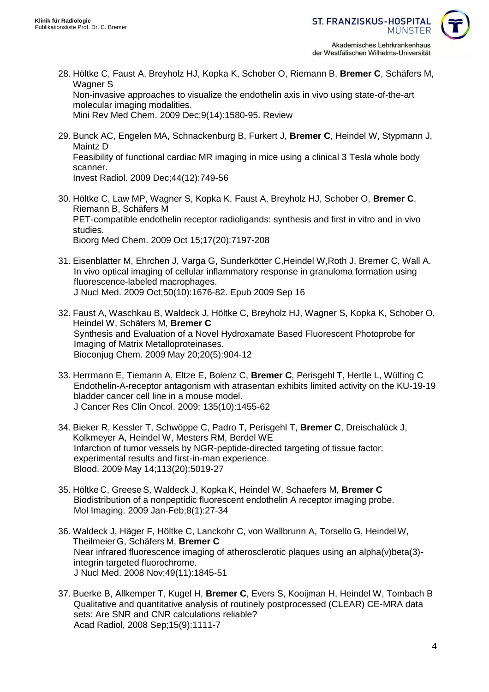

- 28. Höltke C, Faust A, Breyholz HJ, Kopka K, Schober O, Riemann B, **Bremer C**, Schäfers M, Wagner S [Non-invasive approaches to visualize the endothelin axis in vivo using state-of-the-art](http://www.ncbi.nlm.nih.gov/pubmed/20088779)  [molecular imaging modalities.](http://www.ncbi.nlm.nih.gov/pubmed/20088779) Mini Rev Med Chem. 2009 Dec;9(14):1580-95. Review
- 29. Bunck AC, Engelen MA, Schnackenburg B, Furkert J, **Bremer C**, Heindel W, Stypmann J,

Maintz D [Feasibility of functional cardiac MR imaging in mice using a clinical 3 Tesla whole body](http://www.ncbi.nlm.nih.gov/pubmed/19838122)  [scanner.](http://www.ncbi.nlm.nih.gov/pubmed/19838122)

Invest Radiol. 2009 Dec;44(12):749-56

- 30. Höltke C, Law MP, Wagner S, Kopka K, Faust A, Breyholz HJ, Schober O, **Bremer C**, Riemann B, Schäfers M [PET-compatible endothelin receptor radioligands: synthesis and first in vitro and in vivo](http://www.ncbi.nlm.nih.gov/pubmed/19766010)  [studies.](http://www.ncbi.nlm.nih.gov/pubmed/19766010) Bioorg Med Chem. 2009 Oct 15;17(20):7197-208
- 31. Eisenblätter M, Ehrchen J, Varga G, Sunderkötter C,Heindel W,Roth J, Bremer C, Wall A. In vivo optical imaging of cellular inflammatory response in granuloma formation using fluorescence-labeled macrophages. J Nucl Med. 2009 Oct;50(10):1676-82. Epub 2009 Sep 16
- 32. Faust A, Waschkau B, Waldeck J, Höltke C, Breyholz HJ, Wagner S, Kopka K, Schober O, Heindel W, Schäfers M, **Bremer C** Synthesis and Evaluation of a Novel Hydroxamate Based Fluorescent Photoprobe for Imaging of Matrix Metalloproteinases. Bioconjug Chem. 2009 May 20;20(5):904-12
- 33. Herrmann E, Tiemann A, Eltze E, Bolenz C, **Bremer C**, Perisgehl T, Hertle L, Wülfing C Endothelin-A-receptor antagonism with atrasentan exhibits limited activity on the KU-19-19 bladder cancer cell line in a mouse model. J Cancer Res Clin Oncol. 2009; 135(10):1455-62
- 34. Bieker R, Kessler T, Schwöppe C, Padro T, Perisgehl T, **Bremer C**, Dreischalück J, Kolkmeyer A, Heindel W, Mesters RM, Berdel WE Infarction of tumor vessels by NGR-peptide-directed targeting of tissue factor: experimental results and first-in-man experience. Blood. 2009 May 14;113(20):5019-27
- 35. Höltke C, Greese S, Waldeck J, Kopka K, Heindel W, Schaefers M, **Bremer C** Biodistribution of a nonpeptidic fluorescent endothelin A receptor imaging probe. Mol Imaging. 2009 Jan-Feb;8(1):27-34
- 36. Waldeck J, Häger F, Höltke C, Lanckohr C, von Wallbrunn A, Torsello G, HeindelW, Theilmeier G, Schäfers M, **Bremer C** Near infrared fluorescence imaging of atherosclerotic plaques using an alpha(v)beta(3) integrin targeted fluorochrome. J Nucl Med. 2008 Nov;49(11):1845-51
- 37. Buerke B, Allkemper T, Kugel H, **Bremer C**, Evers S, Kooijman H, Heindel W, Tombach B Qualitative and quantitative analysis of routinely postprocessed (CLEAR) CE-MRA data sets: Are SNR and CNR calculations reliable? Acad Radiol, 2008 Sep;15(9):1111-7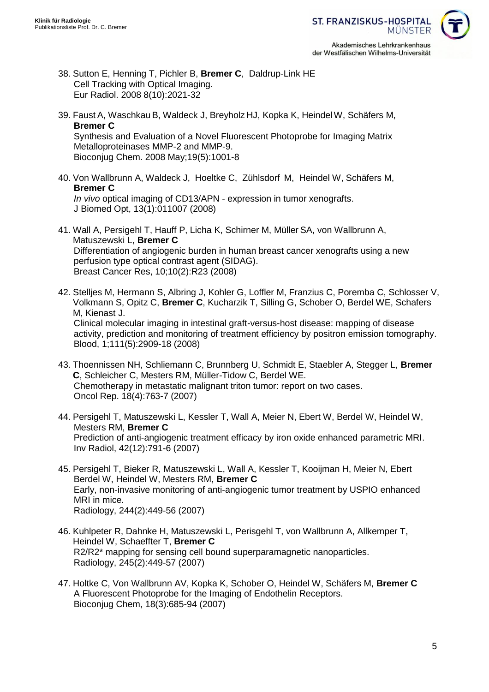der Westfälischen Wilhelms-Universität

- 38. Sutton E, Henning T, Pichler B, **Bremer C**, Daldrup-Link HE Cell Tracking with Optical Imaging. Eur Radiol. 2008 8(10):2021-32
- 39. Faust A, Waschkau B, Waldeck J, Breyholz HJ, Kopka K, HeindelW, Schäfers M, **Bremer C** Synthesis and Evaluation of a Novel Fluorescent Photoprobe for Imaging Matrix Metalloproteinases MMP-2 and MMP-9. Bioconjug Chem. 2008 May;19(5):1001-8
- 40. Von Wallbrunn A, Waldeck J, Hoeltke C, Zühlsdorf M, Heindel W, Schäfers M, **Bremer C** *In vivo* optical imaging of CD13/APN - expression in tumor xenografts. J Biomed Opt, 13(1):011007 (2008)
- 41. Wall A, Persigehl T, Hauff P, Licha K, Schirner M, Müller SA, von Wallbrunn A, Matuszewski L, **Bremer C** Differentiation of angiogenic burden in human breast cancer xenografts using a new perfusion type optical contrast agent (SIDAG). Breast Cancer Res, 10;10(2):R23 (2008)
- 42. Stelljes M, Hermann S, Albring J, Kohler G, Loffler M, Franzius C, Poremba C, Schlosser V, Volkmann S, Opitz C, **Bremer C**, Kucharzik T, Silling G, Schober O, Berdel WE, Schafers M, Kienast J. Clinical molecular imaging in intestinal graft-versus-host disease: mapping of disease activity, prediction and monitoring of treatment efficiency by positron emission tomography. Blood, 1;111(5):2909-18 (2008)
- 43. Thoennissen NH, Schliemann C, Brunnberg U, Schmidt E, Staebler A, Stegger L, **Bremer C**, Schleicher C, Mesters RM, Müller-Tidow C, Berdel WE. Chemotherapy in metastatic malignant triton tumor: report on two cases. Oncol Rep. 18(4):763-7 (2007)
- 44. Persigehl T, Matuszewski L, Kessler T, Wall A, Meier N, Ebert W, Berdel W, Heindel W, Mesters RM, **Bremer C** Prediction of anti-angiogenic treatment efficacy by iron oxide enhanced parametric MRI. Inv Radiol, 42(12):791-6 (2007)
- 45. Persigehl T, Bieker R, Matuszewski L, Wall A, Kessler T, Kooijman H, Meier N, Ebert Berdel W, Heindel W, Mesters RM, **Bremer C** Early, non-invasive monitoring of anti-angiogenic tumor treatment by USPIO enhanced MRI in mice. Radiology, 244(2):449-56 (2007)
- 46. Kuhlpeter R, Dahnke H, Matuszewski L, Perisgehl T, von Wallbrunn A, Allkemper T, Heindel W, Schaeffter T, **Bremer C** R2/R2\* mapping for sensing cell bound superparamagnetic nanoparticles. Radiology, 245(2):449-57 (2007)
- 47. Holtke C, Von Wallbrunn AV, Kopka K, Schober O, Heindel W, Schäfers M, **Bremer C** A Fluorescent Photoprobe for the Imaging of Endothelin Receptors. Bioconjug Chem, 18(3):685-94 (2007)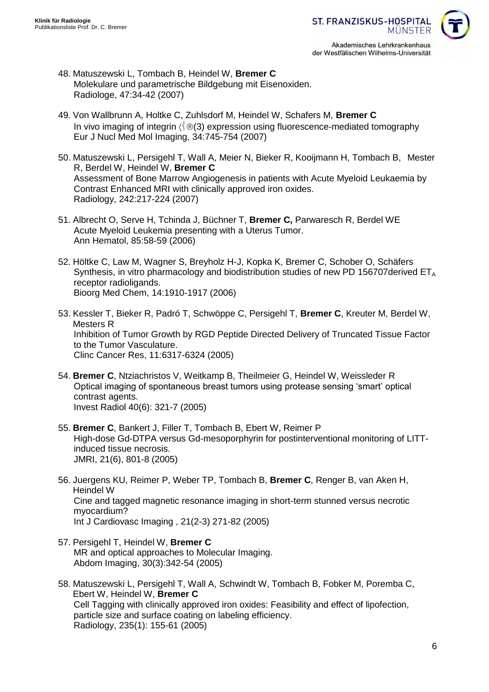

- 48. Matuszewski L, Tombach B, Heindel W, **Bremer C** Molekulare und parametrische Bildgebung mit Eisenoxiden. Radiologe, 47:34-42 (2007)
- 49. Von Wallbrunn A, Holtke C, Zuhlsdorf M, Heindel W, Schafers M, **Bremer C** In vivo imaging of integrin  $\langle \cdot | \otimes q(3) \rangle$  expression using fluorescence-mediated tomography Eur J Nucl Med Mol Imaging, 34:745-754 (2007)
- 50. Matuszewski L, Persigehl T, Wall A, Meier N, Bieker R, Kooijmann H, Tombach B, Mester R, Berdel W, Heindel W, **Bremer C** Assessment of Bone Marrow Angiogenesis in patients with Acute Myeloid Leukaemia by Contrast Enhanced MRI with clinically approved iron oxides. Radiology, 242:217-224 (2007)
- 51. Albrecht O, Serve H, Tchinda J, Büchner T, **Bremer C,** Parwaresch R, Berdel WE Acute Myeloid Leukemia presenting with a Uterus Tumor. Ann Hematol, 85:58-59 (2006)
- 52. Höltke C, Law M, Wagner S, Breyholz H-J, Kopka K, Bremer C, Schober O, Schäfers Synthesis, in vitro pharmacology and biodistribution studies of new PD 156707 derived  $ET_A$ receptor radioligands. Bioorg Med Chem, 14:1910-1917 (2006)
- 53. Kessler T, Bieker R, Padró T, Schwöppe C, Persigehl T, **Bremer C**, Kreuter M, Berdel W, Mesters R Inhibition of Tumor Growth by RGD Peptide Directed Delivery of Truncated Tissue Factor to the Tumor Vasculature. Clinc Cancer Res, 11:6317-6324 (2005)
- 54. **Bremer C**, Ntziachristos V, Weitkamp B, Theilmeier G, Heindel W, Weissleder R Optical imaging of spontaneous breast tumors using protease sensing 'smart' optical contrast agents. Invest Radiol 40(6): 321-7 (2005)
- 55. **Bremer C**, Bankert J, Filler T, Tombach B, Ebert W, Reimer P High-dose Gd-DTPA versus Gd-mesoporphyrin for postinterventional monitoring of LITTinduced tissue necrosis. JMRI, 21(6), 801-8 (2005)
- 56. Juergens KU, Reimer P, Weber TP, Tombach B, **Bremer C**, Renger B, van Aken H, Heindel W Cine and tagged magnetic resonance imaging in short-term stunned versus necrotic myocardium? Int J Cardiovasc Imaging , 21(2-3) 271-82 (2005)
- 57. Persigehl T, Heindel W, **Bremer C** MR and optical approaches to Molecular Imaging. Abdom Imaging, 30(3):342-54 (2005)
- 58. Matuszewski L, Persigehl T, Wall A, Schwindt W, Tombach B, Fobker M, Poremba C, Ebert W, Heindel W, **Bremer C** Cell Tagging with clinically approved iron oxides: Feasibility and effect of lipofection, particle size and surface coating on labeling efficiency. Radiology, 235(1): 155-61 (2005)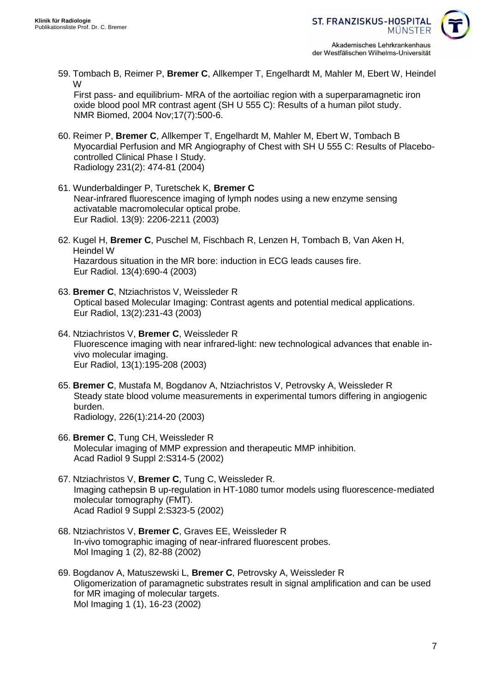

59. Tombach B, Reimer P, **Bremer C**, Allkemper T, Engelhardt M, Mahler M, Ebert W, Heindel W

First pass- and equilibrium- MRA of the aortoiliac region with a superparamagnetic iron oxide blood pool MR contrast agent (SH U 555 C): Results of a human pilot study. NMR Biomed, 2004 Nov;17(7):500-6.

- 60. Reimer P, **Bremer C**, Allkemper T, Engelhardt M, Mahler M, Ebert W, Tombach B Myocardial Perfusion and MR Angiography of Chest with SH U 555 C: Results of Placebocontrolled Clinical Phase I Study. Radiology 231(2): 474-81 (2004)
- 61. Wunderbaldinger P, Turetschek K, **Bremer C** Near-infrared fluorescence imaging of lymph nodes using a new enzyme sensing activatable macromolecular optical probe. Eur Radiol. 13(9): 2206-2211 (2003)
- 62. Kugel H, **Bremer C**, Puschel M, Fischbach R, Lenzen H, Tombach B, Van Aken H, Heindel W Hazardous situation in the MR bore: induction in ECG leads causes fire. Eur Radiol. 13(4):690-4 (2003)
- 63. **Bremer C**, Ntziachristos V, Weissleder R Optical based Molecular Imaging: Contrast agents and potential medical applications. Eur Radiol, 13(2):231-43 (2003)
- 64. Ntziachristos V, **Bremer C**, Weissleder R Fluorescence imaging with near infrared-light: new technological advances that enable invivo molecular imaging. Eur Radiol, 13(1):195-208 (2003)
- 65. **Bremer C**, Mustafa M, Bogdanov A, Ntziachristos V, Petrovsky A, Weissleder R Steady state blood volume measurements in experimental tumors differing in angiogenic burden. Radiology, 226(1):214-20 (2003)
- 66. **Bremer C**, Tung CH, Weissleder R Molecular imaging of MMP expression and therapeutic MMP inhibition. Acad Radiol 9 Suppl 2:S314-5 (2002)
- 67. Ntziachristos V, **Bremer C**, Tung C, Weissleder R. Imaging cathepsin B up-regulation in HT-1080 tumor models using fluorescence-mediated molecular tomography (FMT). Acad Radiol 9 Suppl 2:S323-5 (2002)
- 68. Ntziachristos V, **Bremer C**, Graves EE, Weissleder R In-vivo tomographic imaging of near-infrared fluorescent probes. Mol Imaging 1 (2), 82-88 (2002)
- 69. Bogdanov A, Matuszewski L, **Bremer C**, Petrovsky A, Weissleder R Oligomerization of paramagnetic substrates result in signal amplification and can be used for MR imaging of molecular targets. Mol Imaging 1 (1), 16-23 (2002)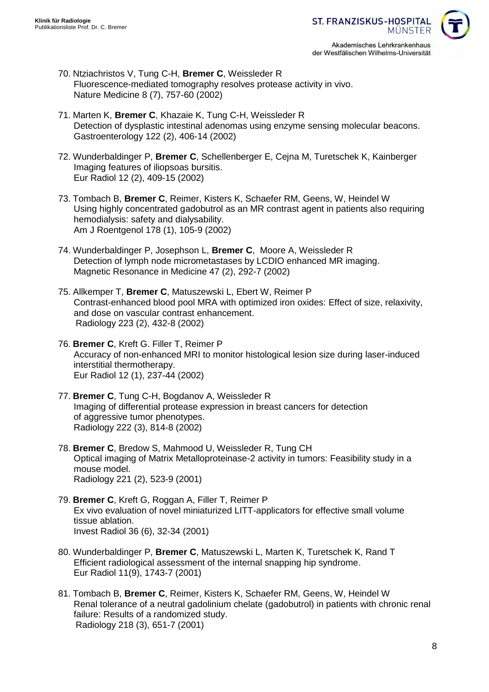

- 70. Ntziachristos V, Tung C-H, **Bremer C**, Weissleder R Fluorescence-mediated tomography resolves protease activity in vivo. Nature Medicine 8 (7), 757-60 (2002)
- 71. Marten K, **Bremer C**, Khazaie K, Tung C-H, Weissleder R Detection of dysplastic intestinal adenomas using enzyme sensing molecular beacons. Gastroenterology 122 (2), 406-14 (2002)
- 72. Wunderbaldinger P, **Bremer C**, Schellenberger E, Cejna M, Turetschek K, Kainberger Imaging features of iliopsoas bursitis. Eur Radiol 12 (2), 409-15 (2002)
- 73. Tombach B, **Bremer C**, Reimer, Kisters K, Schaefer RM, Geens, W, Heindel W Using highly concentrated gadobutrol as an MR contrast agent in patients also requiring hemodialysis: safety and dialysability. Am J Roentgenol 178 (1), 105-9 (2002)
- 74. Wunderbaldinger P, Josephson L, **Bremer C**, Moore A, Weissleder R Detection of lymph node micrometastases by LCDIO enhanced MR imaging. Magnetic Resonance in Medicine 47 (2), 292-7 (2002)
- 75. Allkemper T, **Bremer C**, Matuszewski L, Ebert W, Reimer P Contrast-enhanced blood pool MRA with optimized iron oxides: Effect of size, relaxivity, and dose on vascular contrast enhancement. Radiology 223 (2), 432-8 (2002)
- 76. **Bremer C**, Kreft G. Filler T, Reimer P Accuracy of non-enhanced MRI to monitor histological lesion size during laser-induced interstitial thermotherapy. Eur Radiol 12 (1), 237-44 (2002)
- 77. **Bremer C**, Tung C-H, Bogdanov A, Weissleder R Imaging of differential protease expression in breast cancers for detection of aggressive tumor phenotypes. Radiology 222 (3), 814-8 (2002)
- 78. **Bremer C**, Bredow S, Mahmood U, Weissleder R, Tung CH Optical imaging of Matrix Metalloproteinase-2 activity in tumors: Feasibility study in a mouse model. Radiology 221 (2), 523-9 (2001)
- 79. **Bremer C**, Kreft G, Roggan A, Filler T, Reimer P Ex vivo evaluation of novel miniaturized LITT-applicators for effective small volume tissue ablation. Invest Radiol 36 (6), 32-34 (2001)
- 80. Wunderbaldinger P, **Bremer C**, Matuszewski L, Marten K, Turetschek K, Rand T Efficient radiological assessment of the internal snapping hip syndrome. Eur Radiol 11(9), 1743-7 (2001)
- 81. Tombach B, **Bremer C**, Reimer, Kisters K, Schaefer RM, Geens, W, Heindel W Renal tolerance of a neutral gadolinium chelate (gadobutrol) in patients with chronic renal failure: Results of a randomized study. Radiology 218 (3), 651-7 (2001)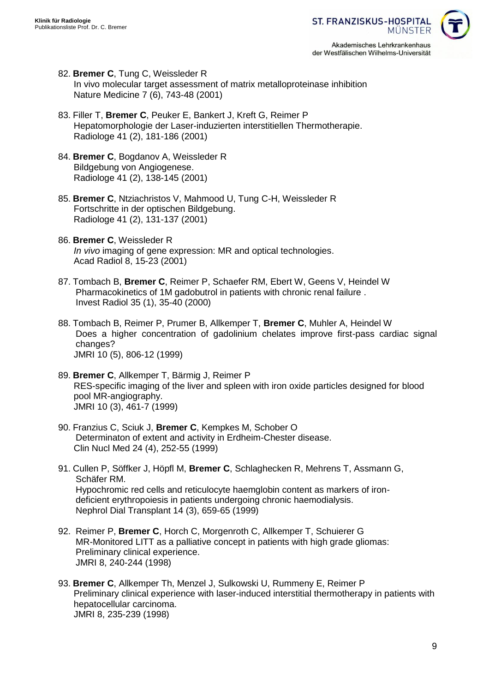- 82. **Bremer C**, Tung C, Weissleder R In vivo molecular target assessment of matrix metalloproteinase inhibition Nature Medicine 7 (6), 743-48 (2001)
- 83. Filler T, **Bremer C**, Peuker E, Bankert J, Kreft G, Reimer P Hepatomorphologie der Laser-induzierten interstitiellen Thermotherapie. Radiologe 41 (2), 181-186 (2001)
- 84. **Bremer C**, Bogdanov A, Weissleder R Bildgebung von Angiogenese. Radiologe 41 (2), 138-145 (2001)
- 85. **Bremer C**, Ntziachristos V, Mahmood U, Tung C-H, Weissleder R Fortschritte in der optischen Bildgebung. Radiologe 41 (2), 131-137 (2001)
- 86. **Bremer C**, Weissleder R *In vivo* imaging of gene expression: MR and optical technologies. Acad Radiol 8, 15-23 (2001)
- 87. Tombach B, **Bremer C**, Reimer P, Schaefer RM, Ebert W, Geens V, Heindel W Pharmacokinetics of 1M gadobutrol in patients with chronic renal failure . Invest Radiol 35 (1), 35-40 (2000)
- 88. Tombach B, Reimer P, Prumer B, Allkemper T, **Bremer C**, Muhler A, Heindel W Does a higher concentration of gadolinium chelates improve first-pass cardiac signal changes? JMRI 10 (5), 806-12 (1999)
- 89. **Bremer C**, Allkemper T, Bärmig J, Reimer P RES-specific imaging of the liver and spleen with iron oxide particles designed for blood pool MR-angiography. JMRI 10 (3), 461-7 (1999)
- 90. Franzius C, Sciuk J, **Bremer C**, Kempkes M, Schober O Determinaton of extent and activity in Erdheim-Chester disease. Clin Nucl Med 24 (4), 252-55 (1999)
- 91. Cullen P, Söffker J, Höpfl M, **Bremer C**, Schlaghecken R, Mehrens T, Assmann G, Schäfer RM. Hypochromic red cells and reticulocyte haemglobin content as markers of irondeficient erythropoiesis in patients undergoing chronic haemodialysis. Nephrol Dial Transplant 14 (3), 659-65 (1999)
- 92. Reimer P, **Bremer C**, Horch C, Morgenroth C, Allkemper T, Schuierer G MR-Monitored LITT as a palliative concept in patients with high grade gliomas: Preliminary clinical experience. JMRI 8, 240-244 (1998)
- 93. **Bremer C**, Allkemper Th, Menzel J, Sulkowski U, Rummeny E, Reimer P Preliminary clinical experience with laser-induced interstitial thermotherapy in patients with hepatocellular carcinoma. JMRI 8, 235-239 (1998)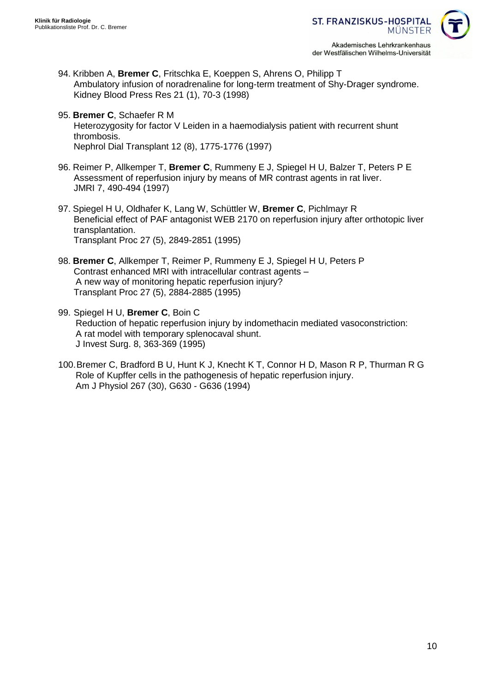

- 94. Kribben A, **Bremer C**, Fritschka E, Koeppen S, Ahrens O, Philipp T Ambulatory infusion of noradrenaline for long-term treatment of Shy-Drager syndrome. Kidney Blood Press Res 21 (1), 70-3 (1998)
- 95. **Bremer C**, Schaefer R M Heterozygosity for factor V Leiden in a haemodialysis patient with recurrent shunt thrombosis. Nephrol Dial Transplant 12 (8), 1775-1776 (1997)
- 96. Reimer P, Allkemper T, **Bremer C**, Rummeny E J, Spiegel H U, Balzer T, Peters P E Assessment of reperfusion injury by means of MR contrast agents in rat liver. JMRI 7, 490-494 (1997)
- 97. Spiegel H U, Oldhafer K, Lang W, Schüttler W, **Bremer C**, Pichlmayr R Beneficial effect of PAF antagonist WEB 2170 on reperfusion injury after orthotopic liver transplantation. Transplant Proc 27 (5), 2849-2851 (1995)
- 98. **Bremer C**, Allkemper T, Reimer P, Rummeny E J, Spiegel H U, Peters P Contrast enhanced MRI with intracellular contrast agents – A new way of monitoring hepatic reperfusion injury? Transplant Proc 27 (5), 2884-2885 (1995)
- 99. Spiegel H U, **Bremer C**, Boin C Reduction of hepatic reperfusion injury by indomethacin mediated vasoconstriction: A rat model with temporary splenocaval shunt. J Invest Surg. 8, 363-369 (1995)
- 100.Bremer C, Bradford B U, Hunt K J, Knecht K T, Connor H D, Mason R P, Thurman R G Role of Kupffer cells in the pathogenesis of hepatic reperfusion injury. Am J Physiol 267 (30), G630 - G636 (1994)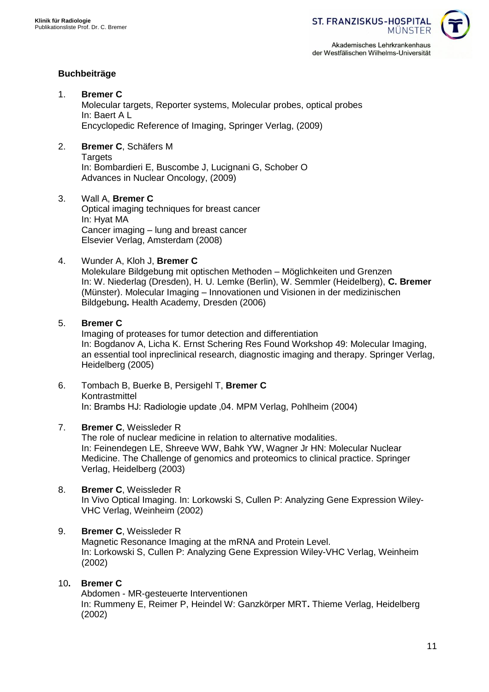der Westfälischen Wilhelms-Universität



### **Buchbeiträge**

- 1. **Bremer C** Molecular targets, Reporter systems, Molecular probes, optical probes In: Baert A L Encyclopedic Reference of Imaging, Springer Verlag, (2009)
- 2. **Bremer C**, Schäfers M **Targets** In: Bombardieri E, Buscombe J, Lucignani G, Schober O Advances in Nuclear Oncology, (2009)
- 3. Wall A, **Bremer C** Optical imaging techniques for breast cancer In: Hyat MA Cancer imaging – lung and breast cancer Elsevier Verlag, Amsterdam (2008)
- 4. Wunder A, Kloh J, **Bremer C**

Molekulare Bildgebung mit optischen Methoden – Möglichkeiten und Grenzen In: W. Niederlag (Dresden), H. U. Lemke (Berlin), W. Semmler (Heidelberg), **C. Bremer** (Münster). Molecular Imaging – Innovationen und Visionen in der medizinischen Bildgebung**.** Health Academy, Dresden (2006)

#### 5. **Bremer C**

Imaging of proteases for tumor detection and differentiation In: Bogdanov A, Licha K. Ernst Schering Res Found Workshop 49: Molecular Imaging, an essential tool inpreclinical research, diagnostic imaging and therapy. Springer Verlag, Heidelberg (2005)

6. Tombach B, Buerke B, Persigehl T, **Bremer C** Kontrastmittel In: Brambs HJ: Radiologie update ,04. MPM Verlag, Pohlheim (2004)

### 7. **Bremer C**, Weissleder R

The role of nuclear medicine in relation to alternative modalities. In: Feinendegen LE, Shreeve WW, Bahk YW, Wagner Jr HN: Molecular Nuclear Medicine. The Challenge of genomics and proteomics to clinical practice. Springer Verlag, Heidelberg (2003)

- 8. **Bremer C**, Weissleder R In Vivo Optical Imaging. In: Lorkowski S, Cullen P: Analyzing Gene Expression Wiley-VHC Verlag, Weinheim (2002)
- 9. **Bremer C**, Weissleder R Magnetic Resonance Imaging at the mRNA and Protein Level. In: Lorkowski S, Cullen P: Analyzing Gene Expression Wiley-VHC Verlag, Weinheim (2002)

#### 10**. Bremer C**

Abdomen - MR-gesteuerte Interventionen In: Rummeny E, Reimer P, Heindel W: Ganzkörper MRT**.** Thieme Verlag, Heidelberg (2002)